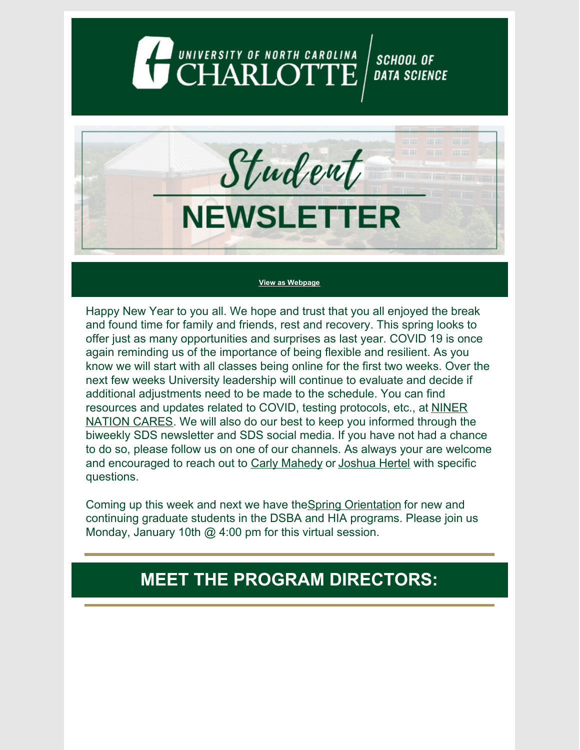## UNIVERSITY OF NORTH CAROLINA **SCHOOL OF DATA SCIENCE**

Student **NEWSLETTER** 

#### **View as [Webpage](https://campaignlp.constantcontact.com/em/1130527463971/b544bd04-20ba-4880-a7aa-9c56671c8eb6)**

Happy New Year to you all. We hope and trust that you all enjoyed the break and found time for family and friends, rest and recovery. This spring looks to offer just as many opportunities and surprises as last year. COVID 19 is once again reminding us of the importance of being flexible and resilient. As you know we will start with all classes being online for the first two weeks. Over the next few weeks University leadership will continue to evaluate and decide if additional adjustments need to be made to the schedule. You can find [resources](https://ninernationcares.charlotte.edu/) and updates related to COVID, testing protocols, etc., at NINER NATION CAR[ES](https://ninernationcares.charlotte.edu/). We will also do our best to keep you informed through the biweekly SDS newsletter and SDS social media. If you have not had a chance to do so, please follow us on one of our channels. As always your are welcome and encouraged to reach out to Carly [Mahedy](https://datascience.charlotte.edu/directory/carly-mahedy) or [Joshua](https://datascience.charlotte.edu/directory/joshua-hertel) Hertel with specific questions.

Coming up this week and next we have theSpring [Orientation](https://datascience.charlotte.edu/events/spring-2022-orientation-town-hall) for new and continuing graduate students in the DSBA and HIA programs. Please join us Monday, January 10th  $\omega$  4:00 pm for this virtual session.

### **MEET THE PROGRAM DIRECTORS:**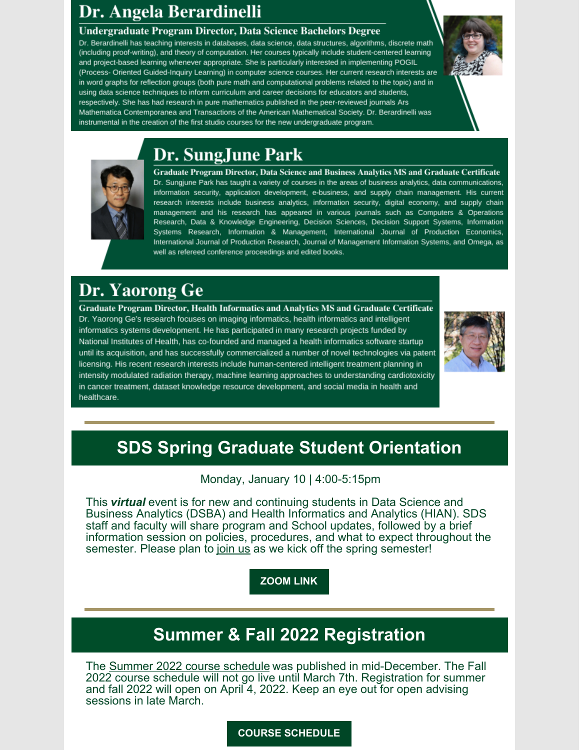# Dr. Angela Berardinelli

#### Undergraduate Program Director, Data Science Bachelors Degree

Dr. Berardinelli has teaching interests in databases, data science, data structures, algorithms, discrete math (including proof-writing), and theory of computation. Her courses typically include student-centered learning and project-based learning whenever appropriate. She is particularly interested in implementing POGIL (Process- Oriented Guided-Inquiry Learning) in computer science courses. Her current research interests are in word graphs for reflection groups (both pure math and computational problems related to the topic) and in using data science techniques to inform curriculum and career decisions for educators and students, respectively. She has had research in pure mathematics published in the peer-reviewed journals Ars Mathematica Contemporanea and Transactions of the American Mathematical Society. Dr. Berardinelli was instrumental in the creation of the first studio courses for the new undergraduate program.

# Dr. SungJune Park



Graduate Program Director, Data Science and Business Analytics MS and Graduate Certificate Dr. Sungjune Park has taught a variety of courses in the areas of business analytics, data communications, information security, application development, e-business, and supply chain management. His current research interests include business analytics, information security, digital economy, and supply chain management and his research has appeared in various journals such as Computers & Operations Research, Data & Knowledge Engineering, Decision Sciences, Decision Support Systems, Information Systems Research, Information & Management, International Journal of Production Economics, International Journal of Production Research, Journal of Management Information Systems, and Omega, as well as refereed conference proceedings and edited books.

## Dr. Yaorong Ge

Graduate Program Director, Health Informatics and Analytics MS and Graduate Certificate Dr. Yaorong Ge's research focuses on imaging informatics, health informatics and intelligent informatics systems development. He has participated in many research projects funded by National Institutes of Health, has co-founded and managed a health informatics software startup until its acquisition, and has successfully commercialized a number of novel technologies via patent licensing. His recent research interests include human-centered intelligent treatment planning in intensity modulated radiation therapy, machine learning approaches to understanding cardiotoxicity in cancer treatment, dataset knowledge resource development, and social media in health and healthcare.



# **SDS Spring Graduate Student Orientation**

Monday, January 10 | 4:00-5:15pm

This *virtual* event is for new and continuing students in Data Science and Business Analytics (DSBA) and Health Informatics and Analytics (HIAN). SDS staff and faculty will share program and School updates, followed by a brief information session on policies, procedures, and what to expect throughout the semester. Please plan to [join](https://uncc.zoom.us/j/94243006369) us as we kick off the spring semester!

### **[ZOOM](https://uncc.zoom.us/j/94243006369) LINK**

## **Summer & Fall 2022 Registration**

The Summer 2022 course [schedule](https://selfservice.uncc.edu/pls/BANPROD/bwckschd.p_disp_dyn_sched) was published in mid-December. The Fall 2022 course schedule will not go live until March 7th. Registration for summer and fall 2022 will open on April 4, 2022. Keep an eye out for open advising sessions in late March.

#### **COURSE [SCHEDULE](https://selfservice.uncc.edu/pls/BANPROD/bwckschd.p_disp_dyn_sched)**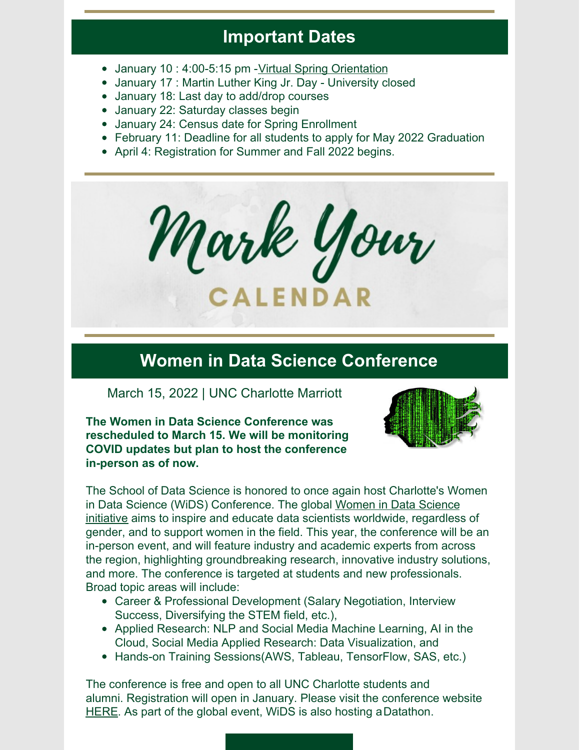### **Important Dates**

- January 10 : 4:00-5:15 pm -Virtual Spring [Orientation](https://uncc.zoom.us/j/94243006369)
- January 17 : Martin Luther King Jr. Day University closed
- January 18: Last day to add/drop courses
- January 22: Saturday classes begin
- January 24: Census date for Spring Enrollment
- February 11: Deadline for all students to apply for May 2022 Graduation
- April 4: Registration for Summer and Fall 2022 begins.



### **Women in Data Science Conference**

March 15, 2022 | UNC Charlotte Marriott

**The Women in Data Science Conference was rescheduled to March 15. We will be monitoring COVID updates but plan to host the conference in-person as of now.**



The School of Data Science is honored to once again host Charlotte's Women in Data Science (WiDS) Conference. The global [Women](https://www.widsconference.org/about.html) in Data Science [initiative](https://www.widsconference.org/about.html) aims to inspire and educate data scientists worldwide, regardless of gender, and to support women in the field. This year, the conference will be an in-person event, and will feature industry and academic experts from across the region, highlighting groundbreaking research, innovative industry solutions, and more. The conference is targeted at students and new professionals. Broad topic areas will include:

- Career & Professional Development (Salary Negotiation, Interview Success, Diversifying the STEM field, etc.),
- Applied Research: NLP and Social Media Machine Learning, AI in the Cloud, Social Media Applied Research: Data Visualization, and
- Hands-on Training Sessions (AWS, Tableau, Tensor Flow, SAS, etc.)

The conference is free and open to all UNC Charlotte students and alumni. Registration will open in January. Please visit the conference website [HERE](https://widscharlotte.charlotte.edu/). As part of the global event, WiDS is also hosting a[Datathon](https://www.widsconference.org/datathon.html).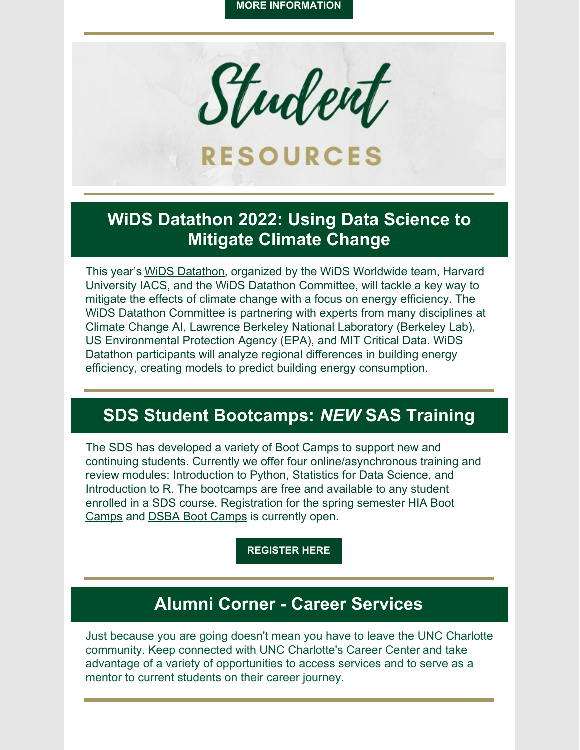

### **WiDS Datathon 2022: Using Data Science to Mitigate Climate Change**

This year's WiDS [Datathon](https://www.widsconference.org/datathon.html), organized by the WiDS Worldwide team, Harvard University IACS, and the WiDS Datathon Committee, will tackle a key way to mitigate the effects of climate change with a focus on energy efficiency. The WiDS Datathon Committee is partnering with experts from many disciplines at Climate Change AI, Lawrence Berkeley National Laboratory (Berkeley Lab), US Environmental Protection Agency (EPA), and MIT Critical Data. WiDS Datathon participants will analyze regional differences in building energy efficiency, creating models to predict building energy consumption.

# **SDS Student Bootcamps:** *NEW* **SAS Training**

The SDS has developed a variety of Boot Camps to support new and continuing students. Currently we offer four online/asynchronous training and review modules: Introduction to Python, Statistics for Data Science, and Introduction to R. The bootcamps are free and available to any student enrolled in a SDS course. [Registration](https://hia.charlotte.edu/current-students/sds-bootcamp-courses) for the spring semester HIA Boot Camps and DSBA Boot [Camps](https://dsba.charlotte.edu/current-students/sds-bootcamp-courses) is currently open.

**[REGISTER](https://docs.google.com/forms/d/e/1FAIpQLScD_6VZRcME_mHKKZDyaPZrYRR6NZCwZmODxHURE4HhVKzKQA/viewform) HERE**

## **Alumni Corner - Career Services**

Just because you are going doesn't mean you have to leave the UNC Charlotte community. Keep connected with UNC [Charlotte's](https://www.youtube.com/watch?v=Lk3SDds8WAM) Career Center and take advantage of a variety of opportunities to access services and to serve as a mentor to current students on their career journey.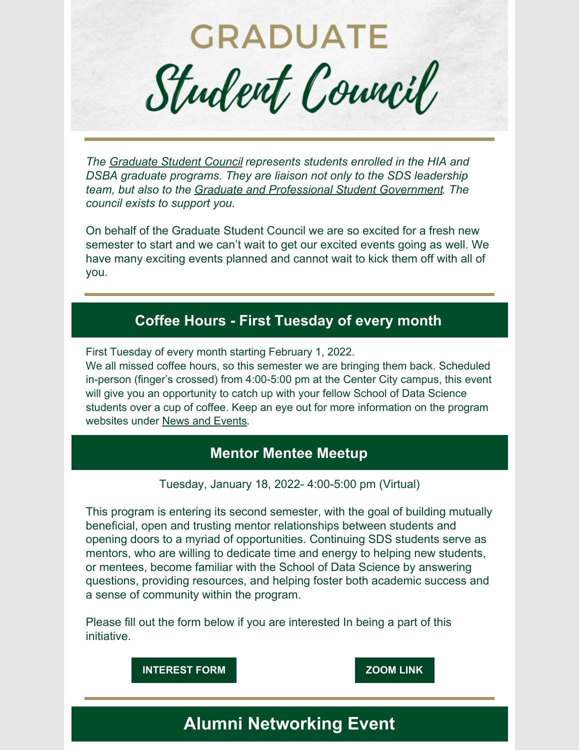**GRADUATE** Student Council

*The [Graduate](https://datascience.charlotte.edu/about-us/student-council) Student Council represents students enrolled in the HIA and DSBA graduate programs. They are liaison not only to the SDS leadership team, but also to the Graduate and [Professional](https://gpsg.charlotte.edu/) Student Government. The council exists to support you.*

On behalf of the Graduate Student Council we are so excited for a fresh new semester to start and we can't wait to get our excited events going as well. We have many exciting events planned and cannot wait to kick them off with all of you.

### **Coffee Hours - First Tuesday of every month**

First Tuesday of every month starting February 1, 2022.

We all missed coffee hours, so this semester we are bringing them back. Scheduled in-person (finger's crossed) from 4:00-5:00 pm at the Center City campus, this event will give you an opportunity to catch up with your fellow School of Data Science students over a cup of coffee. Keep an eye out for more information on the program websites under News and [Events](https://datascience.charlotte.edu/recent-news).

### **Mentor Mentee Meetup**

Tuesday, January 18, 2022- 4:00-5:00 pm (Virtual)

This program is entering its second semester, with the goal of building mutually beneficial, open and trusting mentor relationships between students and opening doors to a myriad of opportunities. Continuing SDS students serve as mentors, who are willing to dedicate time and energy to helping new students, or mentees, become familiar with the School of Data Science by answering questions, providing resources, and helping foster both academic success and a sense of community within the program.

Please fill out the form below if you are interested In being a part of this initiative.



## **Alumni Networking Event**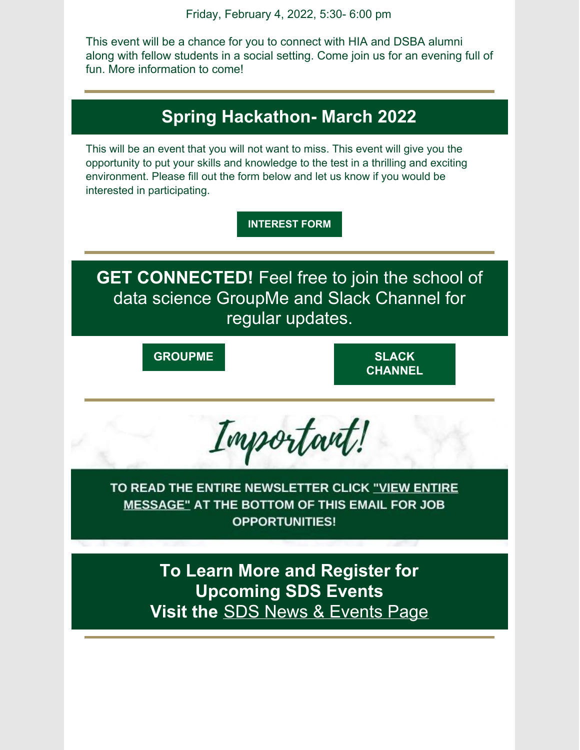Friday, February 4, 2022, 5:30- 6:00 pm

This event will be a chance for you to connect with HIA and DSBA alumni along with fellow students in a social setting. Come join us for an evening full of fun. More information to come!

# **Spring Hackathon- March 2022**

This will be an event that you will not want to miss. This event will give you the opportunity to put your skills and knowledge to the test in a thrilling and exciting environment. Please fill out the form below and let us know if you would be interested in participating.

**[INTEREST](https://docs.google.com/forms/d/e/1FAIpQLSeV6BGKE4uIZklPpsNjppsnuZKVNxy6zWJh-_oqwIZrFtoWvA/viewform?usp=sf_link) FORM**

**GET CONNECTED!** Feel free to join the school of data science GroupMe and Slack Channel for regular updates.

**[GROUPME](https://groupme.com/join_group/65826983/pjXqaF8d) SLACK**

**[CHANNEL](https://join.slack.com/t/uncc-data-science/shared_invite/zt-mw2u30ev-HqpNlg4PNaABcWUX_DcZ0g)**



TO READ THE ENTIRE NEWSLETTER CLICK "VIEW ENTIRE **MESSAGE" AT THE BOTTOM OF THIS EMAIL FOR JOB OPPORTUNITIES!** 

> **To Learn More and Register for Upcoming SDS Events Visit the** SDS News & [Events](https://datascience.charlotte.edu/recent-news) Page